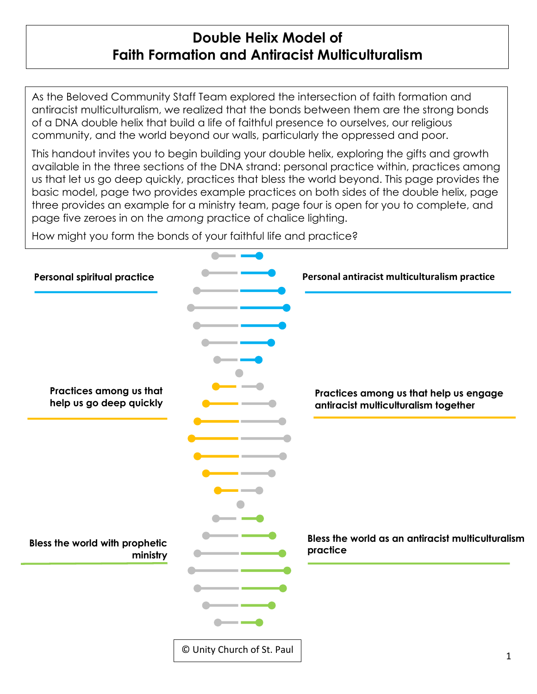## **Double Helix Model of Faith Formation and Antiracist Multiculturalism**

As the Beloved Community Staff Team explored the intersection of faith formation and antiracist multiculturalism, we realized that the bonds between them are the strong bonds of a DNA double helix that build a life of faithful presence to ourselves, our religious community, and the world beyond our walls, particularly the oppressed and poor.

This handout invites you to begin building your double helix, exploring the gifts and growth available in the three sections of the DNA strand: personal practice within, practices among us that let us go deep quickly, practices that bless the world beyond. This page provides the basic model, page two provides example practices on both sides of the double helix, page three provides an example for a ministry team, page four is open for you to complete, and page five zeroes in on the *among* practice of chalice lighting.

How might you form the bonds of your faithful life and practice?

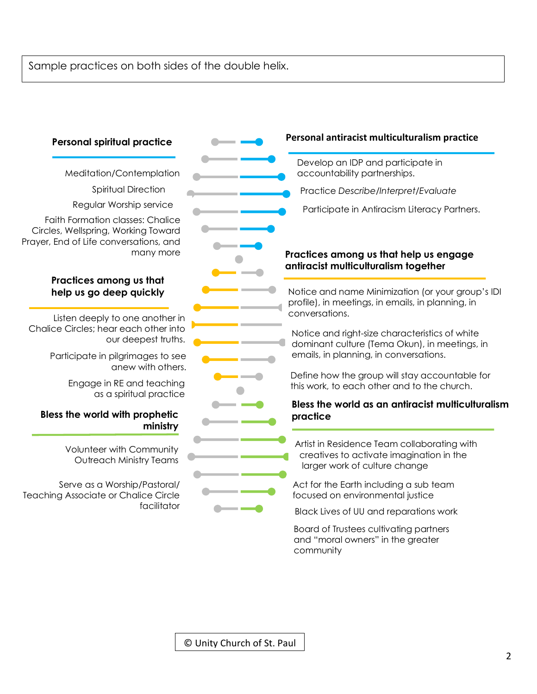## Sample practices on both sides of the double helix.

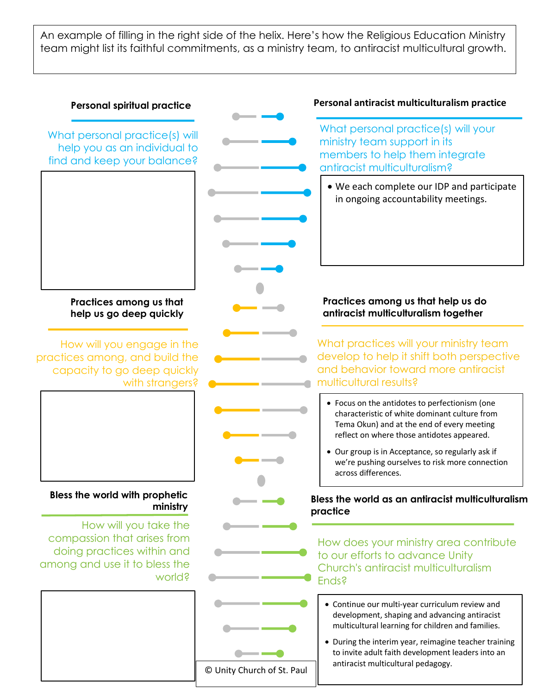An example of filling in the right side of the helix. Here's how the Religious Education Ministry team might list its faithful commitments, as a ministry team, to antiracist multicultural growth.

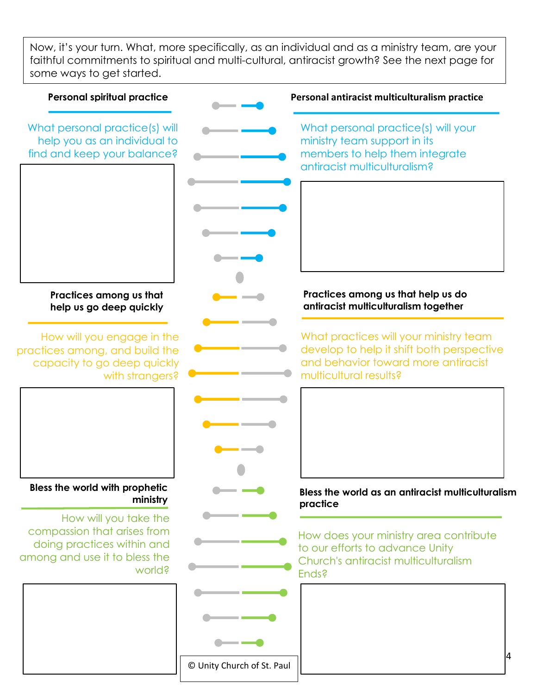Now, it's your turn. What, more specifically, as an individual and as a ministry team, are your faithful commitments to spiritual and multi-cultural, antiracist growth? See the next page for some ways to get started.